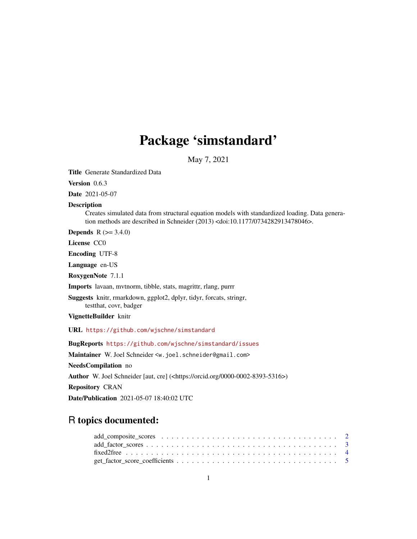# Package 'simstandard'

May 7, 2021

Title Generate Standardized Data

Version 0.6.3

Date 2021-05-07

Description

Creates simulated data from structural equation models with standardized loading. Data generation methods are described in Schneider (2013) <doi:10.1177/0734282913478046>.

**Depends**  $R$  ( $>= 3.4.0$ )

License CC0

Encoding UTF-8

Language en-US

RoxygenNote 7.1.1

Imports lavaan, mvtnorm, tibble, stats, magrittr, rlang, purrr

Suggests knitr, rmarkdown, ggplot2, dplyr, tidyr, forcats, stringr, testthat, covr, badger

VignetteBuilder knitr

URL <https://github.com/wjschne/simstandard>

BugReports <https://github.com/wjschne/simstandard/issues>

Maintainer W. Joel Schneider <w.joel.schneider@gmail.com> NeedsCompilation no Author W. Joel Schneider [aut, cre] (<https://orcid.org/0000-0002-8393-5316>) Repository CRAN Date/Publication 2021-05-07 18:40:02 UTC

# R topics documented: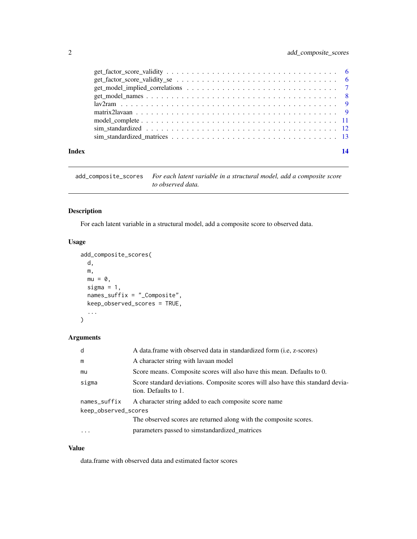<span id="page-1-0"></span>

| Index |                                                                                                                                                | 14 |
|-------|------------------------------------------------------------------------------------------------------------------------------------------------|----|
|       |                                                                                                                                                |    |
|       |                                                                                                                                                |    |
|       |                                                                                                                                                |    |
|       |                                                                                                                                                |    |
|       |                                                                                                                                                |    |
|       |                                                                                                                                                |    |
|       |                                                                                                                                                |    |
|       | $get_factor_score_vality_s$ $se$ $\ldots$ $\ldots$ $\ldots$ $\ldots$ $\ldots$ $\ldots$ $\ldots$ $\ldots$ $\ldots$ $\ldots$ $\ldots$ $\ldots$ 6 |    |
|       |                                                                                                                                                |    |

add\_composite\_scores *For each latent variable in a structural model, add a composite score to observed data.*

# Description

For each latent variable in a structural model, add a composite score to observed data.

# Usage

```
add_composite_scores(
 d,
 m,
 mu = 0,
 sigma = 1,
 names_suffix = "_Composite",
 keep_observed_scores = TRUE,
  ...
)
```
# Arguments

| d                    | A data.frame with observed data in standardized form (i.e, z-scores)                                    |
|----------------------|---------------------------------------------------------------------------------------------------------|
| m                    | A character string with lavaan model                                                                    |
| mu                   | Score means. Composite scores will also have this mean. Defaults to 0.                                  |
| sigma                | Score standard deviations. Composite scores will also have this standard devia-<br>tion. Defaults to 1. |
| names_suffix         | A character string added to each composite score name                                                   |
| keep_observed_scores |                                                                                                         |
|                      | The observed scores are returned along with the composite scores.                                       |
| $\cdots$             | parameters passed to simstandardized_matrices                                                           |

# Value

data.frame with observed data and estimated factor scores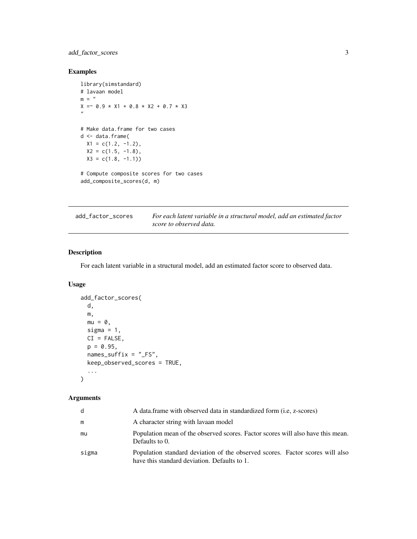# <span id="page-2-0"></span>add\_factor\_scores 3

# Examples

```
library(simstandard)
# lavaan model
m = "X = 0.9 \times X1 + 0.8 \times X2 + 0.7 \times X3"# Make data.frame for two cases
d <- data.frame(
  X1 = c(1.2, -1.2),
  X2 = c(1.5, -1.8),
  X3 = c(1.8, -1.1)# Compute composite scores for two cases
add_composite_scores(d, m)
```

| add_factor_scores | For each latent variable in a structural model, add an estimated factor |
|-------------------|-------------------------------------------------------------------------|
|                   | score to observed data.                                                 |

# Description

For each latent variable in a structural model, add an estimated factor score to observed data.

# Usage

```
add_factor_scores(
 d,
 m,
 mu = 0,
 sigma = 1,
 CI = FALSE,p = 0.95,
 names_suffix = "_FS",
 keep_observed_scores = TRUE,
  ...
```
 $\mathcal{L}$ 

# Arguments

| <sub>d</sub> | A data frame with observed data in standardized form (i.e. z-scores)                                                          |
|--------------|-------------------------------------------------------------------------------------------------------------------------------|
| m            | A character string with lavaan model                                                                                          |
| mu           | Population mean of the observed scores. Factor scores will also have this mean.<br>Defaults to 0.                             |
| sigma        | Population standard deviation of the observed scores. Factor scores will also<br>have this standard deviation. Defaults to 1. |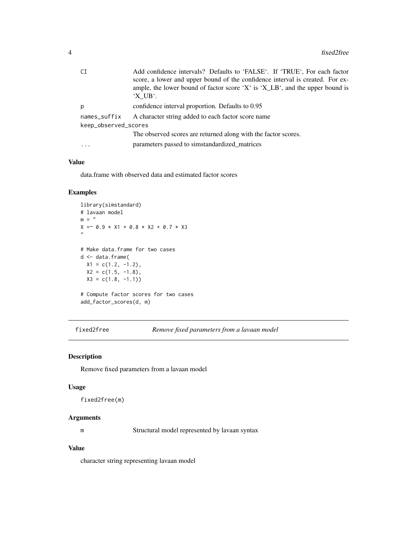<span id="page-3-0"></span>

| СI                   | Add confidence intervals? Defaults to 'FALSE'. If 'TRUE', For each factor<br>score, a lower and upper bound of the confidence interval is created. For ex-<br>ample, the lower bound of factor score 'X' is 'X_LB', and the upper bound is |
|----------------------|--------------------------------------------------------------------------------------------------------------------------------------------------------------------------------------------------------------------------------------------|
|                      | 'X UB'.                                                                                                                                                                                                                                    |
| p                    | confidence interval proportion. Defaults to 0.95                                                                                                                                                                                           |
| names_suffix         | A character string added to each factor score name                                                                                                                                                                                         |
| keep_observed_scores |                                                                                                                                                                                                                                            |
|                      | The observed scores are returned along with the factor scores.                                                                                                                                                                             |
| $\ddots$             | parameters passed to simidardized matrices                                                                                                                                                                                                 |
|                      |                                                                                                                                                                                                                                            |

# Value

data.frame with observed data and estimated factor scores

# Examples

```
library(simstandard)
# lavaan model
m = "X = 0.9 \times X1 + 0.8 \times X2 + 0.7 \times X3"
# Make data.frame for two cases
d <- data.frame(
 X1 = c(1.2, -1.2),
  X2 = c(1.5, -1.8),
  X3 = c(1.8, -1.1)# Compute factor scores for two cases
```
add\_factor\_scores(d, m)

fixed2free *Remove fixed parameters from a lavaan model*

# Description

Remove fixed parameters from a lavaan model

# Usage

fixed2free(m)

# Arguments

m Structural model represented by lavaan syntax

# Value

character string representing lavaan model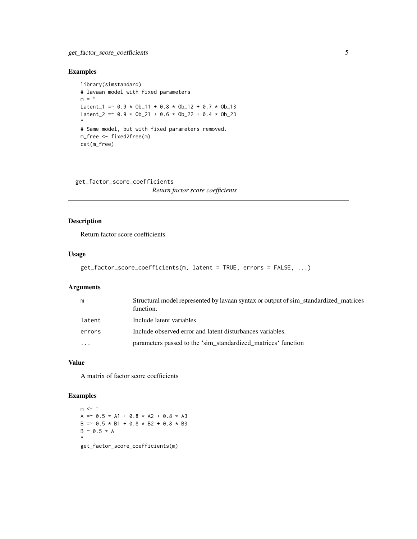# <span id="page-4-0"></span>Examples

```
library(simstandard)
# lavaan model with fixed parameters
m = "Latent_1 = \sim 0.9 \star Ob_11 + 0.8 \star Ob_12 + 0.7 \star Ob_13
Latent_2 = \sim 0.9 \times 0b_21 + 0.6 \times 0b_22 + 0.4 \times 0b_23
"
# Same model, but with fixed parameters removed.
m_free <- fixed2free(m)
cat(m_free)
```

```
get_factor_score_coefficients
```
*Return factor score coefficients*

# Description

Return factor score coefficients

# Usage

```
get_factor_score_coefficients(m, latent = TRUE, errors = FALSE, ...)
```
#### Arguments

| m                       | Structural model represented by lavaan syntax or output of sim_standardized_matrices<br>function. |
|-------------------------|---------------------------------------------------------------------------------------------------|
| latent                  | Include latent variables.                                                                         |
| errors                  | Include observed error and latent disturbances variables.                                         |
| $\cdot$ $\cdot$ $\cdot$ | parameters passed to the 'sim_standardized_matrices' function                                     |

# Value

A matrix of factor score coefficients

# Examples

 $m < -$  "  $A = 0.5 \times A1 + 0.8 \times A2 + 0.8 \times A3$  $B = ~ 0.5 * B1 + 0.8 * B2 + 0.8 * B3$  $B \sim 0.5 * A$ "

get\_factor\_score\_coefficients(m)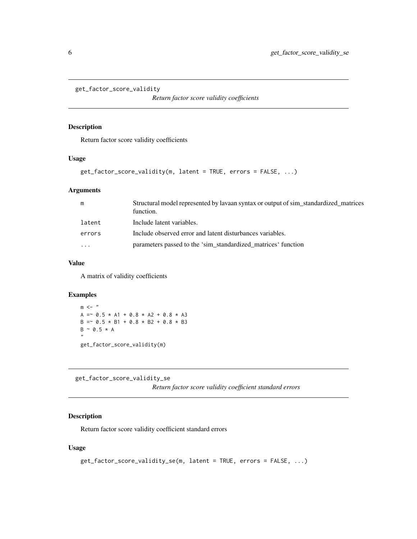```
get_factor_score_validity
```
*Return factor score validity coefficients*

# Description

Return factor score validity coefficients

# Usage

```
get_factor_score_validity(m, latent = TRUE, errors = FALSE, ...)
```
# Arguments

| m        | Structural model represented by lavaan syntax or output of sim standardized matrices<br>function. |
|----------|---------------------------------------------------------------------------------------------------|
| latent   | Include latent variables.                                                                         |
| errors   | Include observed error and latent disturbances variables.                                         |
| $\cdots$ | parameters passed to the 'sim_standardized_matrices' function                                     |

# Value

A matrix of validity coefficients

# Examples

 $m$   $<-$  " A =  $\degree$  0.5 \* A1 + 0.8 \* A2 + 0.8 \* A3  $B = ~ 0.5 * B1 + 0.8 * B2 + 0.8 * B3$  $B \sim 0.5 * A$ " get\_factor\_score\_validity(m)

get\_factor\_score\_validity\_se

*Return factor score validity coefficient standard errors*

# Description

Return factor score validity coefficient standard errors

# Usage

```
get_factor_score_validity_se(m, latent = TRUE, errors = FALSE, ...)
```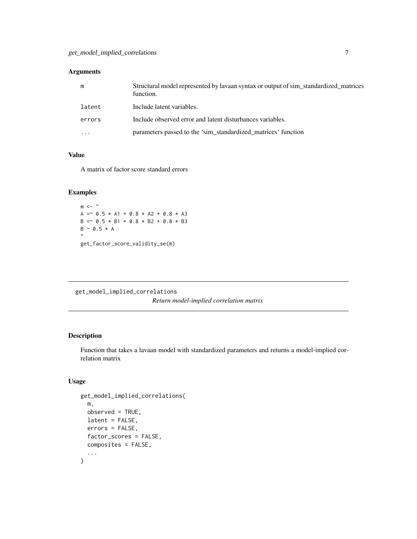# <span id="page-6-0"></span>Arguments

| m      | Structural model represented by lavaan syntax or output of sim_standardized_matrices<br>function. |
|--------|---------------------------------------------------------------------------------------------------|
| latent | Include latent variables.                                                                         |
| errors | Include observed error and latent disturbances variables.                                         |
| .      | parameters passed to the 'sim_standardized_matrices' function                                     |

# Value

A matrix of factor score standard errors

# Examples

 $m$  <- "  $A = 0.5 * A1 + 0.8 * A2 + 0.8 * A3$  $B = 0.5 \times B1 + 0.8 \times B2 + 0.8 \times B3$  $B \sim 0.5 * A$ " get\_factor\_score\_validity\_se(m)

get\_model\_implied\_correlations *Return model-implied correlation matrix*

# Description

Function that takes a lavaan model with standardized parameters and returns a model-implied correlation matrix

# Usage

```
get_model_implied_correlations(
  m,
 observed = TRUE,
 latent = FALSE,errors = FALSE,
  factor_scores = FALSE,
  composites = FALSE,
  ...
\mathcal{E}
```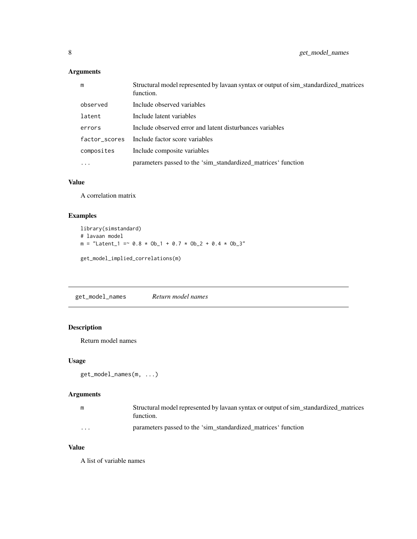# <span id="page-7-0"></span>Arguments

| m          | Structural model represented by lavaan syntax or output of sim_standardized_matrices<br>function. |
|------------|---------------------------------------------------------------------------------------------------|
| observed   | Include observed variables                                                                        |
| latent     | Include latent variables                                                                          |
| errors     | Include observed error and latent disturbances variables                                          |
|            | factor_scores Include factor score variables                                                      |
| composites | Include composite variables                                                                       |
| $\cdots$   | parameters passed to the 'sim_standardized_matrices' function                                     |

# Value

A correlation matrix

# Examples

```
library(simstandard)
# lavaan model
m = "Latent_1 = \degree 0.8 * Ob_1 + 0.7 * Ob_2 + 0.4 * Ob_3"
```
get\_model\_implied\_correlations(m)

get\_model\_names *Return model names*

# Description

Return model names

# Usage

```
get_model_names(m, ...)
```
# Arguments

| m | Structural model represented by lavaan syntax or output of sim standardized matrices<br>function. |
|---|---------------------------------------------------------------------------------------------------|
| . | parameters passed to the 'sim standardized matrices' function                                     |

# Value

A list of variable names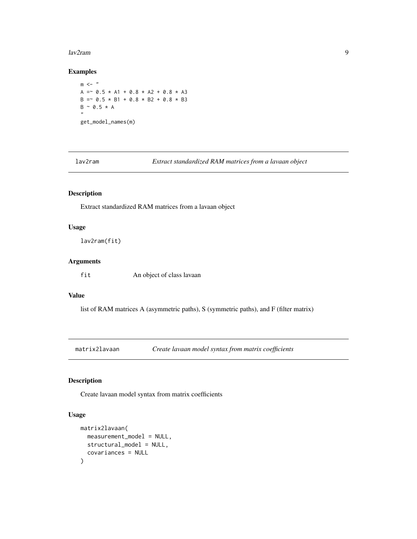#### <span id="page-8-0"></span>lav2ram 9

# Examples

 $m < -$ " A =  $\degree$  0.5 \* A1 + 0.8 \* A2 + 0.8 \* A3  $B = 0.5 \times B1 + 0.8 \times B2 + 0.8 \times B3$  $B \sim 0.5 * A$ " get\_model\_names(m)

lav2ram *Extract standardized RAM matrices from a lavaan object*

# Description

Extract standardized RAM matrices from a lavaan object

# Usage

lav2ram(fit)

# Arguments

fit An object of class lavaan

# Value

list of RAM matrices A (asymmetric paths), S (symmetric paths), and F (filter matrix)

matrix2lavaan *Create lavaan model syntax from matrix coefficients*

# Description

Create lavaan model syntax from matrix coefficients

# Usage

```
matrix2lavaan(
  measurement_model = NULL,
  structural_model = NULL,
  covariances = NULL
\mathcal{E}
```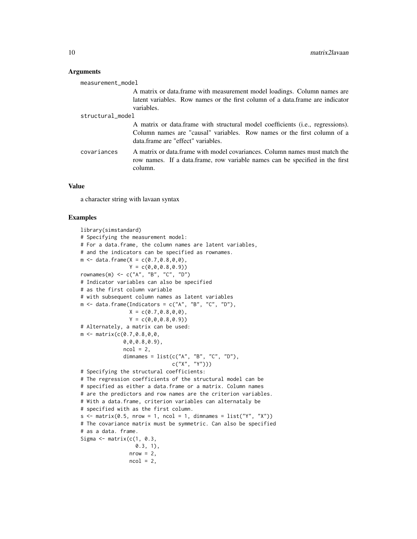#### Arguments

| measurement_model |                                                                                                                                                                                                 |
|-------------------|-------------------------------------------------------------------------------------------------------------------------------------------------------------------------------------------------|
|                   | A matrix or data. frame with measurement model loadings. Column names are                                                                                                                       |
|                   | latent variables. Row names or the first column of a data.frame are indicator                                                                                                                   |
|                   | variables.                                                                                                                                                                                      |
| structural_model  |                                                                                                                                                                                                 |
|                   | A matrix or data frame with structural model coefficients (i.e., regressions).<br>Column names are "causal" variables. Row names or the first column of a<br>data frame are "effect" variables. |
| covariances       | A matrix or data frame with model covariances. Column names must match the<br>row names. If a data frame, row variable names can be specified in the first<br>column.                           |

#### Value

a character string with lavaan syntax

# Examples

```
library(simstandard)
# Specifying the measurement model:
# For a data.frame, the column names are latent variables,
# and the indicators can be specified as rownames.
m <- data.frame(X = c(0.7,0.8,0,0),
                Y = c(0, 0, 0.8, 0.9)rownames(m) <- c("A", "B", "C", "D")
# Indicator variables can also be specified
# as the first column variable
# with subsequent column names as latent variables
m \le - data.frame(Indicators = c("A", "B", "C", "D"),
                X = c(0.7, 0.8, 0, 0),Y = c(0, 0, 0.8, 0.9)# Alternately, a matrix can be used:
m \leq - matrix(c(0.7, 0.8, 0, 0, 0)0,0,0.8,0.9),
              ncol = 2,
              dimnames = list(c("A", "B", "C", "D"),c("X", "Y")))
# Specifying the structural coefficients:
# The regression coefficients of the structural model can be
# specified as either a data.frame or a matrix. Column names
# are the predictors and row names are the criterion variables.
# With a data.frame, criterion variables can alternataly be
# specified with as the first column.
s \le matrix(0.5, nrow = 1, ncol = 1, dimnames = list("Y", "X"))
# The covariance matrix must be symmetric. Can also be specified
# as a data. frame.
Sigma \leq matrix(c(1, 0.3,
                  0.3, 1),nrow = 2,ncol = 2,
```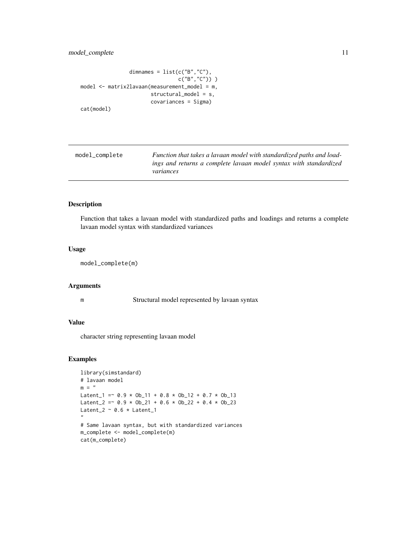# <span id="page-10-0"></span>model\_complete 11

```
dimnames = list(c("B", "C"),c("B", "C")) )
model <- matrix2lavaan(measurement_model = m,
                       structural_model = s,
                       covariances = Sigma)
cat(model)
```
model\_complete *Function that takes a lavaan model with standardized paths and loadings and returns a complete lavaan model syntax with standardized variances*

#### Description

Function that takes a lavaan model with standardized paths and loadings and returns a complete lavaan model syntax with standardized variances

#### Usage

```
model_complete(m)
```
#### Arguments

m Structural model represented by lavaan syntax

# Value

character string representing lavaan model

# Examples

```
library(simstandard)
# lavaan model
m = "Latent_1 = \degree 0.9 * Ob_11 + 0.8 * Ob_12 + 0.7 * Ob_13
Latent_2 = \sim 0.9 \times Ob_21 + 0.6 \times Ob_22 + 0.4 \times Ob_23
Latent_2 \sim 0.6 \star Latent_1
"
# Same lavaan syntax, but with standardized variances
m_complete <- model_complete(m)
cat(m_complete)
```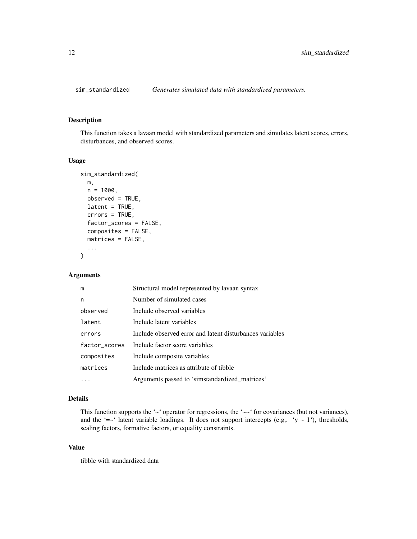<span id="page-11-0"></span>

# Description

This function takes a lavaan model with standardized parameters and simulates latent scores, errors, disturbances, and observed scores.

# Usage

```
sim_standardized(
 m,
 n = 1000,observed = TRUE,
 latent = TRUE,errors = TRUE,
  factor_scores = FALSE,
  composites = FALSE,
 matrices = FALSE,
  ...
)
```
# Arguments

| m             | Structural model represented by lavaan syntax            |
|---------------|----------------------------------------------------------|
| n             | Number of simulated cases                                |
| observed      | Include observed variables                               |
| latent        | Include latent variables                                 |
| errors        | Include observed error and latent disturbances variables |
| factor_scores | Include factor score variables                           |
| composites    | Include composite variables                              |
| matrices      | Include matrices as attribute of tibble                  |
|               | Arguments passed to 'simstandardized_matrices'           |

# Details

This function supports the '~' operator for regressions, the '~~' for covariances (but not variances), and the '=~' latent variable loadings. It does not support intercepts (e.g,. 'y ~ 1'), thresholds, scaling factors, formative factors, or equality constraints.

#### Value

tibble with standardized data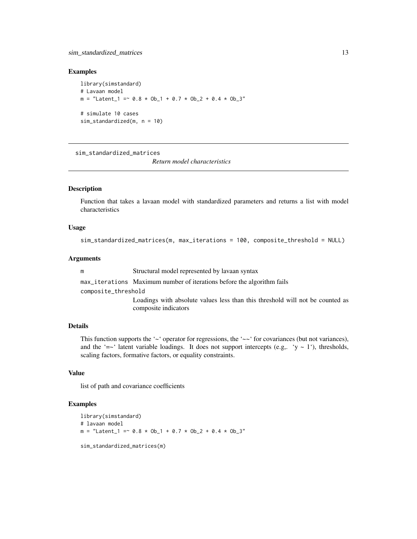# <span id="page-12-0"></span>Examples

library(simstandard) # Lavaan model  $m =$  "Latent\_1 =  $\sim$  0.8  $\star$  Ob\_1 + 0.7  $\star$  Ob\_2 + 0.4  $\star$  Ob\_3" # simulate 10 cases sim\_standardized(m, n = 10)

sim\_standardized\_matrices

*Return model characteristics*

# Description

Function that takes a lavaan model with standardized parameters and returns a list with model characteristics

# Usage

```
sim_standardized_matrices(m, max_iterations = 100, composite_threshold = NULL)
```
#### Arguments

m Structural model represented by lavaan syntax

max\_iterations Maximum number of iterations before the algorithm fails

composite\_threshold

Loadings with absolute values less than this threshold will not be counted as composite indicators

# Details

This function supports the ' $\sim$ ' operator for regressions, the ' $\sim\sim$ ' for covariances (but not variances), and the '=~' latent variable loadings. It does not support intercepts (e.g,. 'y ~ 1'), thresholds, scaling factors, formative factors, or equality constraints.

# Value

list of path and covariance coefficients

# Examples

```
library(simstandard)
# lavaan model
m = "Latent_1 = ~ 0.8 * Ob_1 + 0.7 * Ob_2 + 0.4 * Ob_3"
sim_standardized_matrices(m)
```